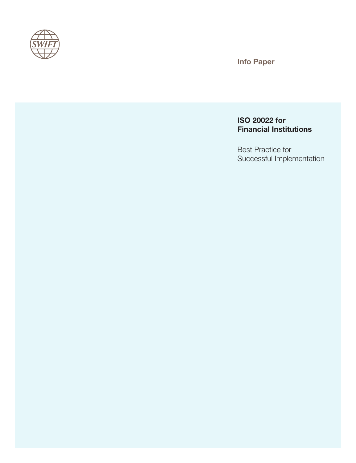

Info Paper

# ISO 20022 for Financial Institutions

Best Practice for Successful Implementation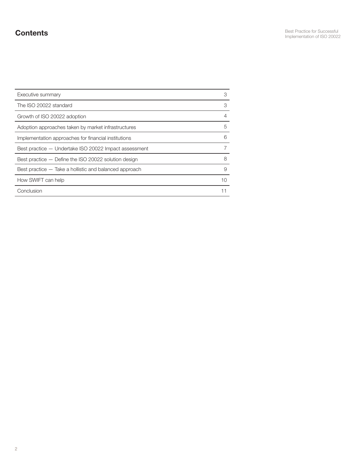# **Contents**

| Executive summary                                      | 3  |
|--------------------------------------------------------|----|
| The ISO 20022 standard                                 | 3  |
| Growth of ISO 20022 adoption                           | 4  |
| Adoption approaches taken by market infrastructures    | 5  |
| Implementation approaches for financial institutions   | 6  |
| Best practice - Undertake ISO 20022 Impact assessment  |    |
| Best practice - Define the ISO 20022 solution design   | 8  |
| Best practice — Take a hollistic and balanced approach | 9  |
| How SWIFT can help                                     | 10 |
| Conclusion                                             |    |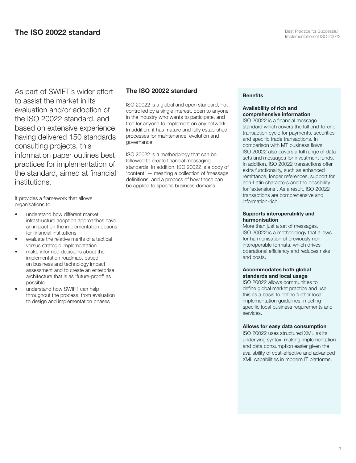As part of SWIFT's wider effort to assist the market in its evaluation and/or adoption of the ISO 20022 standard, and based on extensive experience having delivered 150 standards consulting projects, this information paper outlines best practices for implementation of the standard, aimed at financial institutions.

It provides a framework that allows organisations to:

- understand how different market infrastructure adoption approaches have an impact on the implementation options for financial institutions
- evaluate the relative merits of a tactical versus strategic implementation
- make informed decisions about the implementation roadmap, based on business and technology impact assessment and to create an enterprise architecture that is as 'future-proof' as possible
- understand how SWIFT can help throughout the process, from evaluation to design and implementation phases

## The ISO 20022 standard

ISO 20022 is a global and open standard, not controlled by a single interest, open to anyone in the industry who wants to participate, and free for anyone to implement on any network. In addition, it has mature and fully established processes for maintenance, evolution and governance.

ISO 20022 is a methodology that can be followed to create financial messaging standards. In addition, ISO 20022 is a body of 'content' — meaning a collection of 'message definitions' and a process of how these can be applied to specific business domains.

#### **Benefits**

#### Availability of rich and comprehensive information

ISO 20022 is a financial message standard which covers the full end-to-end transaction cycle for payments, securities and specific trade transactions. In comparison with MT business flows, ISO 20022 also covers a full range of data sets and messages for investment funds. In addition, ISO 20022 transactions offer extra functionality, such as enhanced remittance, longer references, support for non-Latin characters and the possibility for 'extensions'. As a result, ISO 20022 transactions are comprehensive and information-rich.

#### Supports interoperability and harmonisation

More than just a set of messages, ISO 20022 is a methodology that allows for harmonisation of previously noninteroperable formats, which drives operational efficiency and reduces risks and costs.

#### Accommodates both global standards and local usage

ISO 20022 allows communities to define global market practice and use this as a basis to define further local implementation guidelines, meeting specific local business requirements and services.

#### Allows for easy data consumption

ISO 20022 uses structured XML as its underlying syntax, making implementation and data consumption easier given the availability of cost-effective and advanced XML capabilities in modern IT platforms.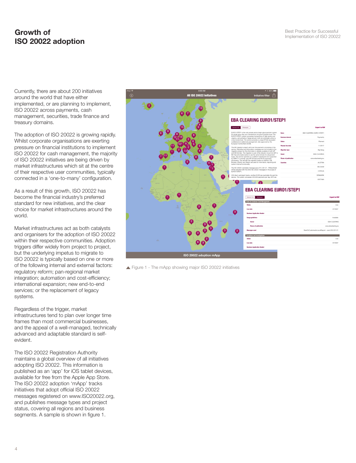# **Growth of** Best Practice for Successful<br> **Index Concernsive Concernsive Concernsive Concernsive Concernsive Concernsive Concernsive Concernsive Concernsiv** ISO 20022 adoption

Currently, there are about 200 initiatives around the world that have either implemented, or are planning to implement, ISO 20022 across payments, cash management, securities, trade finance and treasury domains.

The adoption of ISO 20022 is growing rapidly. Whilst corporate organisations are exerting pressure on financial institutions to implement ISO 20022 for cash management, the majority of ISO 20022 initiatives are being driven by market infrastructures which sit at the centre of their respective user communities, typically connected in a 'one-to-many' configuration.

As a result of this growth, ISO 20022 has become the financial industry's preferred standard for new initiatives, and the clear choice for market infrastructures around the world.

Market infrastructures act as both catalysts and organisers for the adoption of ISO 20022 within their respective communities. Adoption triggers differ widely from project to project, but the underlying impetus to migrate to ISO 20022 is typically based on one or more of the following internal and external factors: regulatory reform; pan-regional market integration; automation and cost-efficiency; international expansion; new end-to-end services; or the replacement of legacy systems.

Regardless of the trigger, market infrastructures tend to plan over longer time frames than most commercial businesses, and the appeal of a well-managed, technically advanced and adaptable standard is selfevident.

The ISO 20022 Registration Authority maintains a global overview of all initiatives adopting ISO 20022. This information is published as an 'app' for iOS tablet devices, available for free from the Apple App Store. The ISO 20022 adoption 'mApp' tracks initiatives that adopt official ISO 20022 messages registered on www.ISO20022.org, and publishes message types and project status, covering all regions and business segments. A sample is shown in figure 1.



▲ Figure 1 - The mApp showing major ISO 20022 initiatives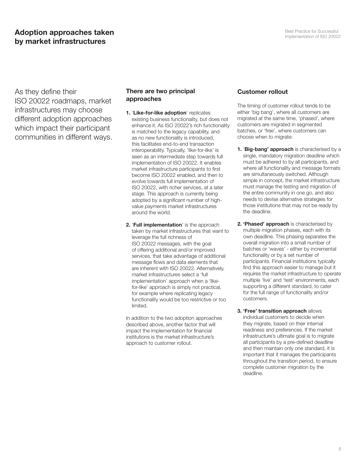As they define their ISO 20022 roadmaps, market infrastructures may choose different adoption approaches which impact their participant communities in different ways.

## There are two principal approaches

- 1. 'Like-for-like adoption' replicates existing business functionality, but does not enhance it. As ISO 20022's rich functionality is matched to the legacy capability, and as no new functionality is introduced, this facilitates end-to-end transaction interoperability. Typically, 'like-for-like' is seen as an intermediate step towards full implementation of ISO 20022. It enables market infrastructure participants to first become ISO 20022 enabled, and then to evolve towards full implementation of ISO 20022, with richer services, at a later stage. This approach is currently being adopted by a significant number of highvalue payments market infrastructures around the world.
- 2. 'Full implementation' is the approach taken by market infrastructures that want to leverage the full richness of ISO 20022 messages, with the goal of offering additional and/or improved services, that take advantage of additional message flows and data elements that are inherent with ISO 20022. Alternatively, market infrastructures select a 'full implementation' approach when a 'likefor-like' approach is simply not practical, for example where replicating legacy functionality would be too restrictive or too limited.

In addition to the two adoption approaches described above, another factor that will impact the implementation for financial institutions is the market infrastructure's approach to customer rollout.

## Customer rollout

The timing of customer rollout tends to be either 'big bang', where all customers are migrated at the same time, 'phased', where customers are migrated in segmented batches, or 'free', where customers can choose when to migrate:

- 1. 'Big-bang' approach is characterised by a single, mandatory migration deadline which must be adhered to by all participants, and where all functionality and message formats are simultaneously switched. Although simple in concept, the market infrastructure must manage the testing and migration of the entire community in one go, and also needs to devise alternative strategies for those institutions that may not be ready by the deadline.
- 2. 'Phased' approach is characterised by multiple migration phases, each with its own deadline. This phasing separates the overall migration into a small number of batches or 'waves' - either by incremental functionality or by a set number of participants. Financial institutions typically find this approach easier to manage but it requires the market infrastructure to operate multiple 'live' and 'test' environments, each supporting a different standard, to cater for the full range of functionality and/or customers.
- **3. 'Free' transition approach allows** individual customers to decide when they migrate, based on their internal readiness and preferences. If the market infrastructure's ultimate goal is to migrate all participants by a pre-defined deadline and then maintain only one standard, it is important that it manages the participants throughout the transition period, to ensure complete customer migration by the deadline.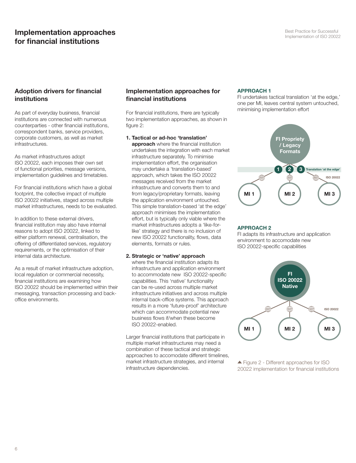# Implementation approaches for financial institutions

## Adoption drivers for financial institutions

As part of everyday business, financial institutions are connected with numerous counterparties - other financial institutions, correspondent banks, service providers, corporate customers, as well as market infrastructures.

As market infrastructures adopt ISO 20022, each imposes their own set of functional priorities, message versions, implementation guidelines and timetables.

For financial institutions which have a global footprint, the collective impact of multiple ISO 20022 initiatives, staged across multiple market infrastructures, needs to be evaluated.

In addition to these external drivers, financial institution may also have internal reasons to adopt ISO 20022, linked to either platform renewal, centralisation, the offering of differentiated services, regulatory requirements, or the optimisation of their internal data architecture.

As a result of market infrastructure adoption, local regulation or commercial necessity, financial institutions are examining how ISO 20022 should be implemented within their messaging, transaction processing and backoffice environments.

## Implementation approaches for financial institutions

For financial institutions, there are typically two implementation approaches, as shown in figure 2:

1. Tactical or ad-hoc 'translation' approach where the financial institution undertakes the integration with each market infrastructure separately. To minimise implementation effort, the organisation may undertake a 'translation-based' approach, which takes the ISO 20022 messages received from the market infrastructure and converts them to and from legacy/proprietary formats, leaving the application environment untouched. This simple translation-based 'at the edge' approach minimises the implementation effort, but is typically only viable where the market infrastructures adopts a 'like-forlike' strategy and there is no inclusion of new ISO 20022 functionality, flows, data elements, formats or rules.

#### 2. Strategic or 'native' approach

where the financial institution adapts its infrastructure and application environment to accommodate new ISO 20022-specific capabilities. This 'native' functionality can be re-used across multiple market infrastructure initiatives and across multiple internal back-office systems. This approach results in a more 'future-proof' architecture which can accommodate potential new business flows if/when these become ISO 20022-enabled.

Larger financial institutions that participate in multiple market infrastructures may need a combination of these tactical and strategic approaches to accomodate different timelines, market infrastructure strategies, and internal infrastructure dependencies.

#### APPROACH 1

FI undertakes tactical translation 'at the edge,' one per MI, leaves central system untouched, minimising implementation effort



#### APPROACH 2

FI adapts its infrastructure and application environment to accomodate new ISO 20022-specific capabilities



<sup>▲</sup> Figure 2 - Different approaches for ISO 20022 implementation for financial institutions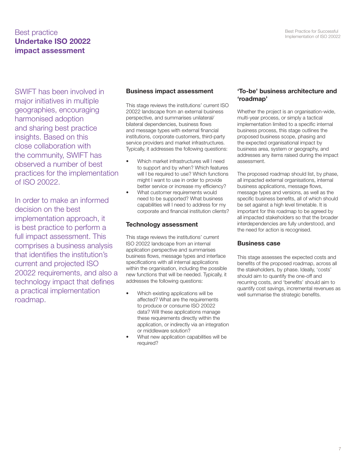# **Best practice**<br> **Implementation of ISO 20022**<br> **Implementation of ISO 20022** Undertake ISO 20022 impact assessment

SWIFT has been involved in major initiatives in multiple geographies, encouraging harmonised adoption and sharing best practice insights. Based on this close collaboration with the community, SWIFT has observed a number of best practices for the implementation of ISO 20022.

In order to make an informed decision on the best implementation approach, it is best practice to perform a full impact assessment. This comprises a business analysis that identifies the institution's current and projected ISO 20022 requirements, and also a technology impact that defines a practical implementation roadmap.

## Business impact assessment

This stage reviews the institutions' current ISO 20022 landscape from an external business perspective, and summarises unilateral/ bilateral dependencies, business flows and message types with external financial institutions, corporate customers, third-party service providers and market infrastructures. Typically, it addresses the following questions:

- Which market infrastructures will I need to support and by when? Which features will I be required to use? Which functions might I want to use in order to provide better service or increase my efficiency?
- What customer requirements would need to be supported? What business capabilities will I need to address for my corporate and financial institution clients?

## Technology assessment

This stage reviews the institutions' current ISO 20022 landscape from an internal application perspective and summarises business flows, message types and interface specifications with all internal applications within the organisation, including the possible new functions that will be needed. Typically, it addresses the following questions:

- Which existing applications will be affected? What are the requirements to produce or consume ISO 20022 data? Will these applications manage these requirements directly within the application, or indirectly via an integration or middleware solution?
- What new application capabilities will be required?

## 'To-be' business architecture and 'roadmap'

Whether the project is an organisation-wide, multi-year process, or simply a tactical implementation limited to a specific internal business process, this stage outlines the proposed business scope, phasing and the expected organisational impact by business area, system or geography, and addresses any items raised during the impact assessment.

The proposed roadmap should list, by phase, all impacted external organisations, internal business applications, message flows, message types and versions, as well as the specific business benefits, all of which should be set against a high level timetable. It is important for this roadmap to be agreed by all impacted stakeholders so that the broader interdependencies are fully understood, and the need for action is recognised.

#### Business case

This stage assesses the expected costs and benefits of the proposed roadmap, across all the stakeholders, by phase. Ideally, 'costs' should aim to quantify the one-off and recurring costs, and 'benefits' should aim to quantify cost savings, incremental revenues as well summarise the strategic benefits.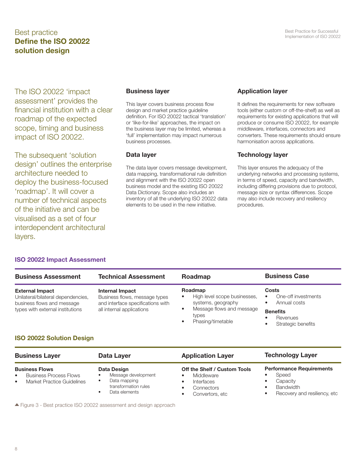# **Best practice**<br> **Implementation of ISO 20022**<br> **Implementation of ISO 20022** Define the ISO 20022 solution design

The ISO 20022 'impact assessment' provides the financial institution with a clear roadmap of the expected scope, timing and business impact of ISO 20022.

The subsequent 'solution design' outlines the enterprise architecture needed to deploy the business-focused 'roadmap'. It will cover a number of technical aspects of the initiative and can be visualised as a set of four interdependent architectural layers.

ISO 20022 Impact Assessment

## Business layer

This layer covers business process flow design and market practice guideline definition. For ISO 20022 tactical 'translation' or 'like-for-like' approaches, the impact on the business layer may be limited, whereas a 'full' implementation may impact numerous business processes.

#### Data layer

The data layer covers message development, data mapping, transformational rule definition and alignment with the ISO 20022 open business model and the existing ISO 20022 Data Dictionary. Scope also includes an inventory of all the underlying ISO 20022 data elements to be used in the new initiative.

## Application layer

It defines the requirements for new software tools (either custom or off-the-shelf) as well as requirements for existing applications that will produce or consume ISO 20022, for example middleware, interfaces, connectors and converters. These requirements should ensure harmonisation across applications.

## Technology layer

This layer ensures the adequacy of the underlying networks and processing systems, in terms of speed, capacity and bandwidth, including differing provisions due to protocol, message size or syntax differences. Scope may also include recovery and resiliency procedures.

#### Business Assessment External Impact Unilateral/bilateral dependencies, business flows and message types with external institutions Technical Assessment Internal Impact Business flows, message types and interface specifications with all internal applications Roadmap Roadmap • High level scope businesses, systems, geography • Message flows and message types • Phasing/timetable Business Case **Costs** • One-off investments • Annual costs **Benefits Revenues** Strategic benefits ISO 20022 Solution Design

| <b>Business Layer</b>                                                                                          | Data Layer                                                                                                                                                                                                                                                                                                                                                                                                                                                                                                                                                                        | <b>Application Layer</b>                                                                  | <b>Technology Layer</b>                                                                                  |
|----------------------------------------------------------------------------------------------------------------|-----------------------------------------------------------------------------------------------------------------------------------------------------------------------------------------------------------------------------------------------------------------------------------------------------------------------------------------------------------------------------------------------------------------------------------------------------------------------------------------------------------------------------------------------------------------------------------|-------------------------------------------------------------------------------------------|----------------------------------------------------------------------------------------------------------|
| <b>Business Flows</b><br><b>Business Process Flows</b><br>$\bullet$<br>Market Practice Guidelines<br>$\bullet$ | Data Design<br>Message development<br>Data mapping<br>transformation rules<br>Data elements<br>$\mathbf{A} \quad \mathbf{F}^{\dagger} \quad \mathbf{A} \quad \mathbf{D} \quad \mathbf{A} \quad \mathbf{A} \quad \mathbf{A} \quad \mathbf{A} \quad \mathbf{A} \quad \mathbf{A} \quad \mathbf{A} \quad \mathbf{A} \quad \mathbf{A} \quad \mathbf{A} \quad \mathbf{A} \quad \mathbf{A} \quad \mathbf{A} \quad \mathbf{A} \quad \mathbf{A} \quad \mathbf{A} \quad \mathbf{A} \quad \mathbf{A} \quad \mathbf{A} \quad \mathbf{A} \quad \mathbf{A} \quad \mathbf{A} \quad \mathbf{A} \$ | Off the Shelf / Custom Tools<br>Middleware<br>Interfaces<br>Connectors<br>Convertors, etc | <b>Performance Requirements</b><br>Speed<br>Capacity<br><b>Bandwidth</b><br>Recovery and resiliency, etc |

Figure 3 - Best practice ISO 20022 assessment and design approach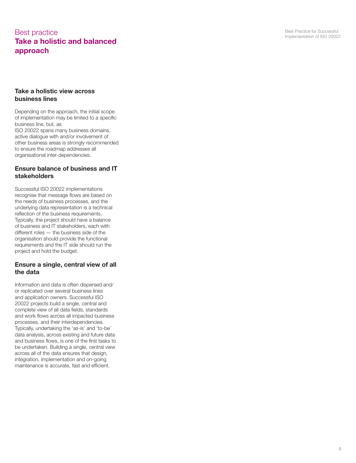# **Best practice**<br> **Implementation of ISO 20022**<br> **Implementation of ISO 20022** Take a holistic and balanced approach

#### Take a holistic view across business lines

Depending on the approach, the initial scope of implementation may be limited to a specific business line, but, as ISO 20022 spans many business domains, active dialogue with and/or involvement of other business areas is strongly recommended to ensure the roadmap addresses all organisational inter-dependencies.

## Ensure balance of business and IT stakeholders

Successful ISO 20022 implementations recognise that message flows are based on the needs of business processes, and the underlying data representation is a technical reflection of the business requirements. Typically, the project should have a balance of business and IT stakeholders, each with different roles — the business side of the organisation should provide the functional requirements and the IT side should run the project and hold the budget.

## Ensure a single, central view of all the data

Information and data is often dispersed and/ or replicated over several business lines and application owners. Successful ISO 20022 projects build a single, central and complete view of all data fields, standards and work flows across all impacted business processes, and their interdependencies. Typically, undertaking the 'as-is' and 'to-be' data analysis, across existing and future data and business flows, is one of the first tasks to be undertaken. Building a single, central view across all of the data ensures that design, integration, implementation and on-going maintenance is accurate, fast and efficient.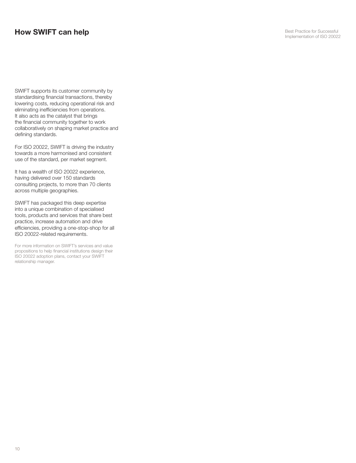## How SWIFT can help

SWIFT supports its customer community by standardising financial transactions, thereby lowering costs, reducing operational risk and eliminating inefficiencies from operations. It also acts as the catalyst that brings the financial community together to work collaboratively on shaping market practice and defining standards.

For ISO 20022, SWIFT is driving the industry towards a more harmonised and consistent use of the standard, per market segment.

It has a wealth of ISO 20022 experience, having delivered over 150 standards consulting projects, to more than 70 clients across multiple geographies.

SWIFT has packaged this deep expertise into a unique combination of specialised tools, products and services that share best practice, increase automation and drive efficiencies, providing a one-stop-shop for all ISO 20022-related requirements.

For more information on SWIFT's services and value propositions to help financial institutions design their ISO 20022 adoption plans, contact your SWIFT relationship manager.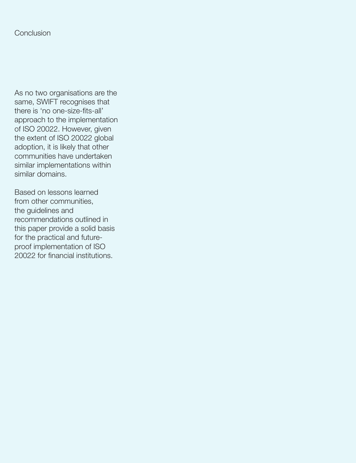As no two organisations are the same, SWIFT recognises that there is 'no one-size-fits-all' approach to the implementation of ISO 20022. However, given the extent of ISO 20022 global adoption, it is likely that other communities have undertaken similar implementations within similar domains.

Based on lessons learned from other communities, the guidelines and recommendations outlined in this paper provide a solid basis for the practical and futureproof implementation of ISO 20022 for financial institutions.